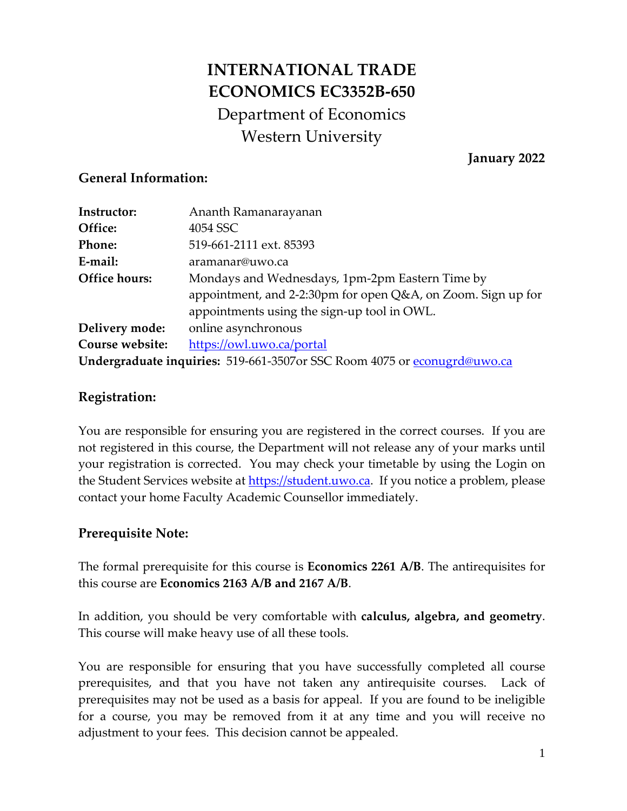# **INTERNATIONAL TRADE ECONOMICS EC3352B-650** Department of Economics Western University

**January 2022**

#### **General Information:**

| Instructor:     | Ananth Ramanarayanan                                                      |
|-----------------|---------------------------------------------------------------------------|
| Office:         | 4054 SSC                                                                  |
| <b>Phone:</b>   | 519-661-2111 ext. 85393                                                   |
| E-mail:         | aramanar@uwo.ca                                                           |
| Office hours:   | Mondays and Wednesdays, 1pm-2pm Eastern Time by                           |
|                 | appointment, and 2-2:30pm for open Q&A, on Zoom. Sign up for              |
|                 | appointments using the sign-up tool in OWL.                               |
| Delivery mode:  | online asynchronous                                                       |
| Course website: | https://owl.uwo.ca/portal                                                 |
|                 | Undergraduate inquiries: 519-661-3507 or SSC Room 4075 or econugrd@uwo.ca |

### **Registration:**

You are responsible for ensuring you are registered in the correct courses. If you are not registered in this course, the Department will not release any of your marks until your registration is corrected. You may check your timetable by using the Login on the Student Services website at [https://student.uwo.ca.](https://student.uwo.ca/) If you notice a problem, please contact your home Faculty Academic Counsellor immediately.

### **Prerequisite Note:**

The formal prerequisite for this course is **Economics 2261 A/B**. The antirequisites for this course are **Economics 2163 A/B and 2167 A/B**.

In addition, you should be very comfortable with **calculus, algebra, and geometry**. This course will make heavy use of all these tools.

You are responsible for ensuring that you have successfully completed all course prerequisites, and that you have not taken any antirequisite courses. Lack of prerequisites may not be used as a basis for appeal. If you are found to be ineligible for a course, you may be removed from it at any time and you will receive no adjustment to your fees. This decision cannot be appealed.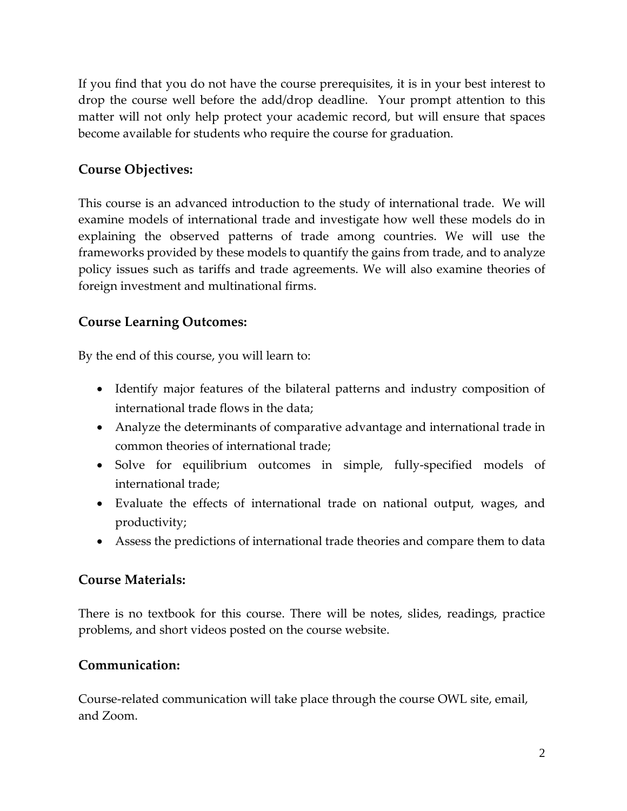If you find that you do not have the course prerequisites, it is in your best interest to drop the course well before the add/drop deadline. Your prompt attention to this matter will not only help protect your academic record, but will ensure that spaces become available for students who require the course for graduation.

### **Course Objectives:**

This course is an advanced introduction to the study of international trade. We will examine models of international trade and investigate how well these models do in explaining the observed patterns of trade among countries. We will use the frameworks provided by these models to quantify the gains from trade, and to analyze policy issues such as tariffs and trade agreements. We will also examine theories of foreign investment and multinational firms.

### **Course Learning Outcomes:**

By the end of this course, you will learn to:

- Identify major features of the bilateral patterns and industry composition of international trade flows in the data;
- Analyze the determinants of comparative advantage and international trade in common theories of international trade;
- Solve for equilibrium outcomes in simple, fully-specified models of international trade;
- Evaluate the effects of international trade on national output, wages, and productivity;
- Assess the predictions of international trade theories and compare them to data

#### **Course Materials:**

There is no textbook for this course. There will be notes, slides, readings, practice problems, and short videos posted on the course website.

#### **Communication:**

Course-related communication will take place through the course OWL site, email, and Zoom.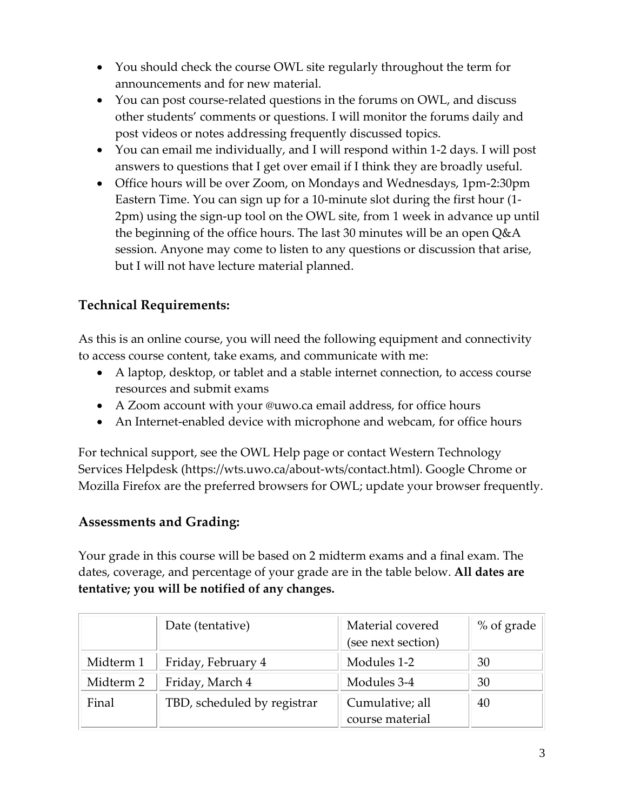- You should check the course OWL site regularly throughout the term for announcements and for new material.
- You can post course-related questions in the forums on OWL, and discuss other students' comments or questions. I will monitor the forums daily and post videos or notes addressing frequently discussed topics.
- You can email me individually, and I will respond within 1-2 days. I will post answers to questions that I get over email if I think they are broadly useful.
- Office hours will be over Zoom, on Mondays and Wednesdays, 1pm-2:30pm Eastern Time. You can sign up for a 10-minute slot during the first hour (1- 2pm) using the sign-up tool on the OWL site, from 1 week in advance up until the beginning of the office hours. The last 30 minutes will be an open Q&A session. Anyone may come to listen to any questions or discussion that arise, but I will not have lecture material planned.

# **Technical Requirements:**

As this is an online course, you will need the following equipment and connectivity to access course content, take exams, and communicate with me:

- A laptop, desktop, or tablet and a stable internet connection, to access course resources and submit exams
- A Zoom account with your @uwo.ca email address, for office hours
- An Internet-enabled device with microphone and webcam, for office hours

For technical support, see the OWL Help page or contact Western Technology Services Helpdesk [\(https://wts.uwo.ca/about-wts/contact.html\)](https://wts.uwo.ca/about-wts/contact.html). Google Chrome or Mozilla Firefox are the preferred browsers for OWL; update your browser frequently.

### **Assessments and Grading:**

Your grade in this course will be based on 2 midterm exams and a final exam. The dates, coverage, and percentage of your grade are in the table below. **All dates are tentative; you will be notified of any changes.**

|           | Date (tentative)            | Material covered   | % of grade |
|-----------|-----------------------------|--------------------|------------|
|           |                             | (see next section) |            |
| Midterm 1 | Friday, February 4          | Modules 1-2        | 30         |
| Midterm 2 | Friday, March 4             | Modules 3-4        | 30         |
| Final     | TBD, scheduled by registrar | Cumulative; all    | 40         |
|           |                             | course material    |            |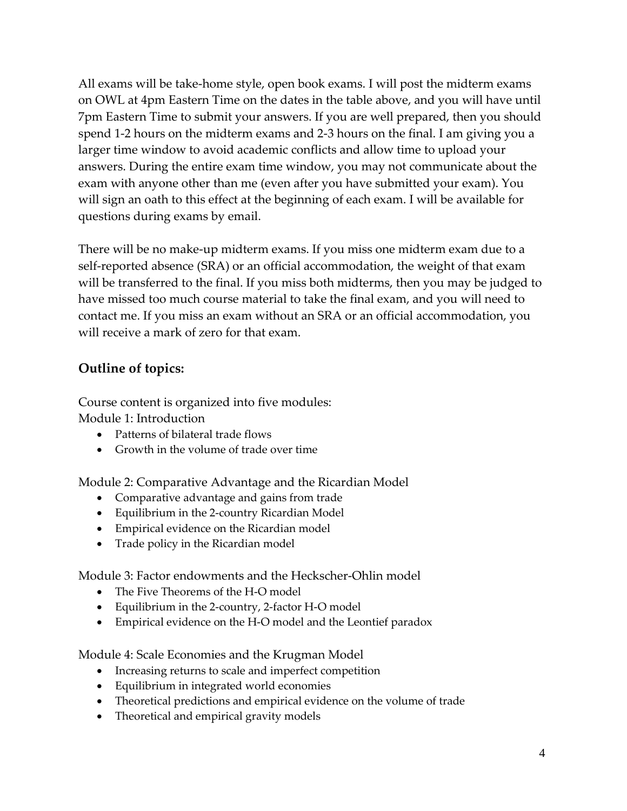All exams will be take-home style, open book exams. I will post the midterm exams on OWL at 4pm Eastern Time on the dates in the table above, and you will have until 7pm Eastern Time to submit your answers. If you are well prepared, then you should spend 1-2 hours on the midterm exams and 2-3 hours on the final. I am giving you a larger time window to avoid academic conflicts and allow time to upload your answers. During the entire exam time window, you may not communicate about the exam with anyone other than me (even after you have submitted your exam). You will sign an oath to this effect at the beginning of each exam. I will be available for questions during exams by email.

There will be no make-up midterm exams. If you miss one midterm exam due to a self-reported absence (SRA) or an official accommodation, the weight of that exam will be transferred to the final. If you miss both midterms, then you may be judged to have missed too much course material to take the final exam, and you will need to contact me. If you miss an exam without an SRA or an official accommodation, you will receive a mark of zero for that exam.

# **Outline of topics:**

Course content is organized into five modules: Module 1: Introduction

- Patterns of bilateral trade flows
- Growth in the volume of trade over time

Module 2: Comparative Advantage and the Ricardian Model

- Comparative advantage and gains from trade
- Equilibrium in the 2-country Ricardian Model
- Empirical evidence on the Ricardian model
- Trade policy in the Ricardian model

Module 3: Factor endowments and the Heckscher-Ohlin model

- The Five Theorems of the H-O model
- Equilibrium in the 2-country, 2-factor H-O model
- Empirical evidence on the H-O model and the Leontief paradox

Module 4: Scale Economies and the Krugman Model

- Increasing returns to scale and imperfect competition
- Equilibrium in integrated world economies
- Theoretical predictions and empirical evidence on the volume of trade
- Theoretical and empirical gravity models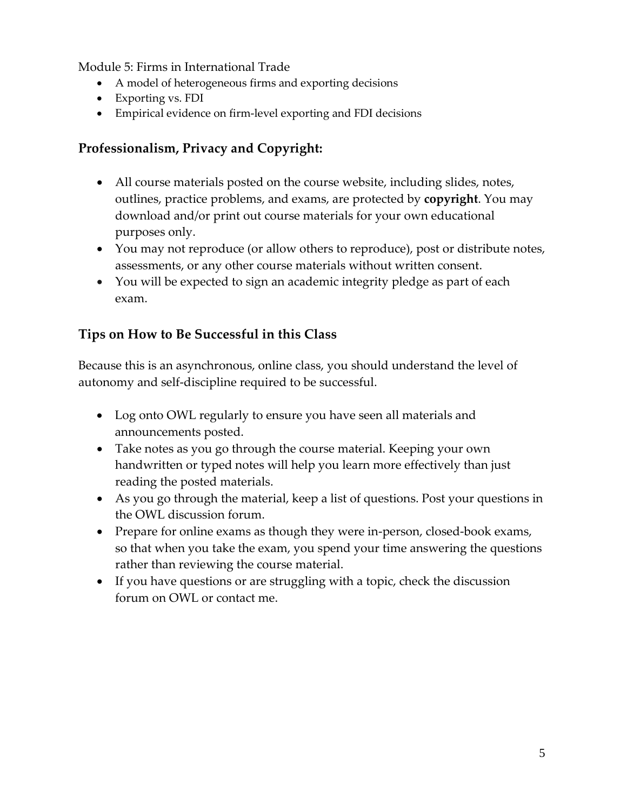Module 5: Firms in International Trade

- A model of heterogeneous firms and exporting decisions
- Exporting vs. FDI
- Empirical evidence on firm-level exporting and FDI decisions

# **Professionalism, Privacy and Copyright:**

- All course materials posted on the course website, including slides, notes, outlines, practice problems, and exams, are protected by **copyright**. You may download and/or print out course materials for your own educational purposes only.
- You may not reproduce (or allow others to reproduce), post or distribute notes, assessments, or any other course materials without written consent.
- You will be expected to sign an academic integrity pledge as part of each exam.

# **Tips on How to Be Successful in this Class**

Because this is an asynchronous, online class, you should understand the level of autonomy and self-discipline required to be successful.

- Log onto OWL regularly to ensure you have seen all materials and announcements posted.
- Take notes as you go through the course material. Keeping your own handwritten or typed notes will help you learn more effectively than just reading the posted materials.
- As you go through the material, keep a list of questions. Post your questions in the OWL discussion forum.
- Prepare for online exams as though they were in-person, closed-book exams, so that when you take the exam, you spend your time answering the questions rather than reviewing the course material.
- If you have questions or are struggling with a topic, check the discussion forum on OWL or contact me.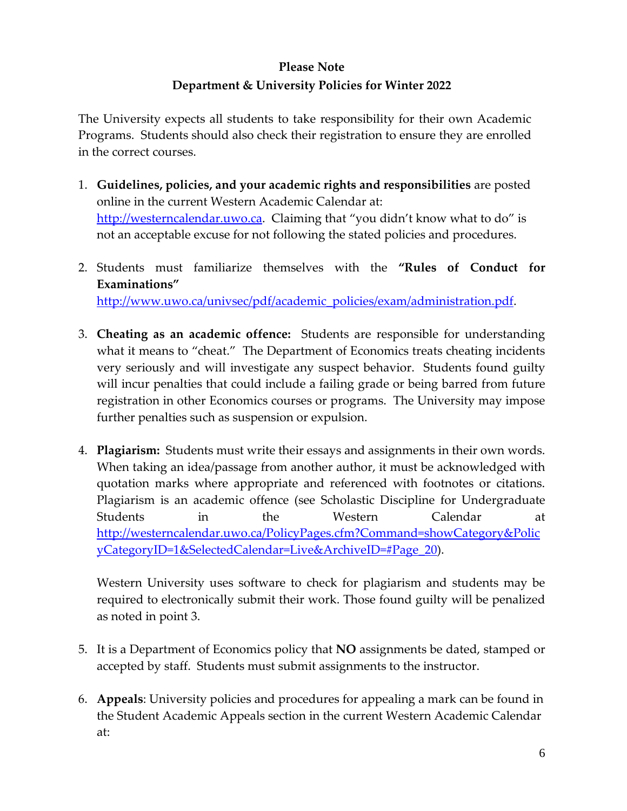# **Please Note Department & University Policies for Winter 2022**

The University expects all students to take responsibility for their own Academic Programs. Students should also check their registration to ensure they are enrolled in the correct courses.

- 1. **Guidelines, policies, and your academic rights and responsibilities** are posted online in the current Western Academic Calendar at: [http://westerncalendar.uwo.ca.](http://westerncalendar.uwo.ca/) Claiming that "you didn't know what to do" is not an acceptable excuse for not following the stated policies and procedures.
- 2. Students must familiarize themselves with the **"Rules of Conduct for Examinations"** [http://www.uwo.ca/univsec/pdf/academic\\_policies/exam/administration.pdf.](http://www.uwo.ca/univsec/pdf/academic_policies/exam/administration.pdf)
- 3. **Cheating as an academic offence:** Students are responsible for understanding what it means to "cheat." The Department of Economics treats cheating incidents very seriously and will investigate any suspect behavior. Students found guilty will incur penalties that could include a failing grade or being barred from future registration in other Economics courses or programs. The University may impose further penalties such as suspension or expulsion.
- 4. **Plagiarism:** Students must write their essays and assignments in their own words. When taking an idea/passage from another author, it must be acknowledged with quotation marks where appropriate and referenced with footnotes or citations. Plagiarism is an academic offence (see Scholastic Discipline for Undergraduate Students in the Western Calendar at [http://westerncalendar.uwo.ca/PolicyPages.cfm?Command=showCategory&Polic](http://westerncalendar.uwo.ca/PolicyPages.cfm?Command=showCategory&PolicyCategoryID=1&SelectedCalendar=Live&ArchiveID=#Page_20) [yCategoryID=1&SelectedCalendar=Live&ArchiveID=#Page\\_20\)](http://westerncalendar.uwo.ca/PolicyPages.cfm?Command=showCategory&PolicyCategoryID=1&SelectedCalendar=Live&ArchiveID=#Page_20).

Western University uses software to check for plagiarism and students may be required to electronically submit their work. Those found guilty will be penalized as noted in point 3.

- 5. It is a Department of Economics policy that **NO** assignments be dated, stamped or accepted by staff. Students must submit assignments to the instructor.
- 6. **Appeals**: University policies and procedures for appealing a mark can be found in the Student Academic Appeals section in the current Western Academic Calendar at: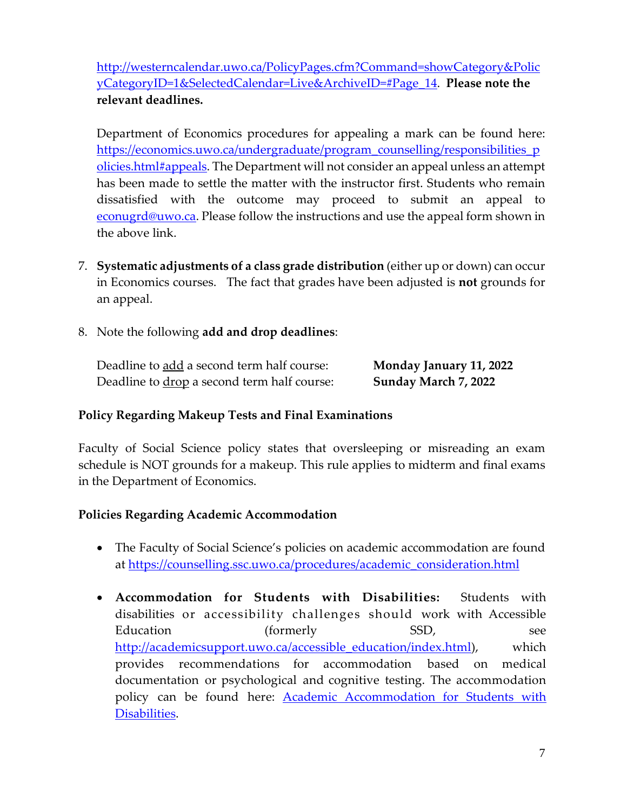[http://westerncalendar.uwo.ca/PolicyPages.cfm?Command=showCategory&Polic](http://westerncalendar.uwo.ca/PolicyPages.cfm?Command=showCategory&PolicyCategoryID=1&SelectedCalendar=Live&ArchiveID=#Page_14) [yCategoryID=1&SelectedCalendar=Live&ArchiveID=#Page\\_14.](http://westerncalendar.uwo.ca/PolicyPages.cfm?Command=showCategory&PolicyCategoryID=1&SelectedCalendar=Live&ArchiveID=#Page_14) **Please note the relevant deadlines.**

Department of Economics procedures for appealing a mark can be found here: [https://economics.uwo.ca/undergraduate/program\\_counselling/responsibilities\\_p](https://economics.uwo.ca/undergraduate/program_counselling/responsibilities_policies.html#appeals) [olicies.html#appeals.](https://economics.uwo.ca/undergraduate/program_counselling/responsibilities_policies.html#appeals) The Department will not consider an appeal unless an attempt has been made to settle the matter with the instructor first. Students who remain dissatisfied with the outcome may proceed to submit an appeal to [econugrd@uwo.ca.](mailto:econugrd@uwo.ca) Please follow the instructions and use the appeal form shown in the above link.

- 7. **Systematic adjustments of a class grade distribution** (either up or down) can occur in Economics courses. The fact that grades have been adjusted is **not** grounds for an appeal.
- 8. Note the following **add and drop deadlines**:

| Deadline to add a second term half course:  | <b>Monday January 11, 2022</b> |
|---------------------------------------------|--------------------------------|
| Deadline to drop a second term half course: | Sunday March 7, 2022           |

#### **Policy Regarding Makeup Tests and Final Examinations**

Faculty of Social Science policy states that oversleeping or misreading an exam schedule is NOT grounds for a makeup. This rule applies to midterm and final exams in the Department of Economics.

#### **Policies Regarding Academic Accommodation**

- The Faculty of Social Science's policies on academic accommodation are found at [https://counselling.ssc.uwo.ca/procedures/academic\\_consideration.html](https://counselling.ssc.uwo.ca/procedures/academic_consideration.html)
- **Accommodation for Students with Disabilities:** Students with disabilities or accessibility challenges should work with Accessible Education (formerly SSD, see [http://academicsupport.uwo.ca/accessible\\_education/index.html\)](http://academicsupport.uwo.ca/accessible_education/index.html), which provides recommendations for accommodation based on medical documentation or psychological and cognitive testing. The accommodation policy can be found here: **Academic Accommodation for Students with** [Disabilities.](https://www.uwo.ca/univsec/pdf/academic_policies/appeals/Academic%20Accommodation_disabilities.pdf)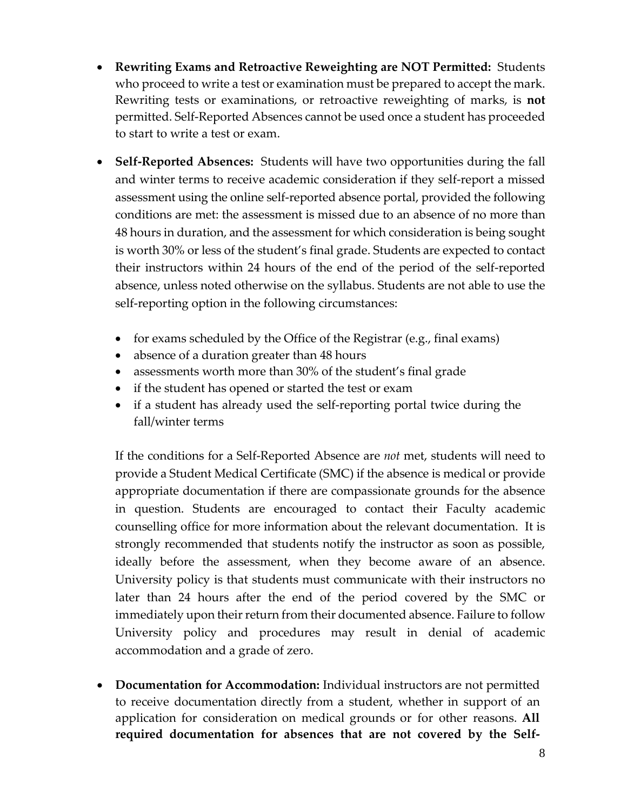- **Rewriting Exams and Retroactive Reweighting are NOT Permitted:** Students who proceed to write a test or examination must be prepared to accept the mark. Rewriting tests or examinations, or retroactive reweighting of marks, is **not** permitted. Self-Reported Absences cannot be used once a student has proceeded to start to write a test or exam.
- **Self-Reported Absences:** Students will have two opportunities during the fall and winter terms to receive academic consideration if they self-report a missed assessment using the online self-reported absence portal, provided the following conditions are met: the assessment is missed due to an absence of no more than 48 hours in duration, and the assessment for which consideration is being sought is worth 30% or less of the student's final grade. Students are expected to contact their instructors within 24 hours of the end of the period of the self-reported absence, unless noted otherwise on the syllabus. Students are not able to use the self-reporting option in the following circumstances:
	- for exams scheduled by the Office of the Registrar (e.g., final exams)
	- absence of a duration greater than 48 hours
	- assessments worth more than 30% of the student's final grade
	- if the student has opened or started the test or exam
	- if a student has already used the self-reporting portal twice during the fall/winter terms

If the conditions for a Self-Reported Absence are *not* met, students will need to provide a Student Medical Certificate (SMC) if the absence is medical or provide appropriate documentation if there are compassionate grounds for the absence in question. Students are encouraged to contact their Faculty academic counselling office for more information about the relevant documentation. It is strongly recommended that students notify the instructor as soon as possible, ideally before the assessment, when they become aware of an absence. University policy is that students must communicate with their instructors no later than 24 hours after the end of the period covered by the SMC or immediately upon their return from their documented absence. Failure to follow University policy and procedures may result in denial of academic accommodation and a grade of zero.

• **Documentation for Accommodation:** Individual instructors are not permitted to receive documentation directly from a student, whether in support of an application for consideration on medical grounds or for other reasons. **All required documentation for absences that are not covered by the Self-**